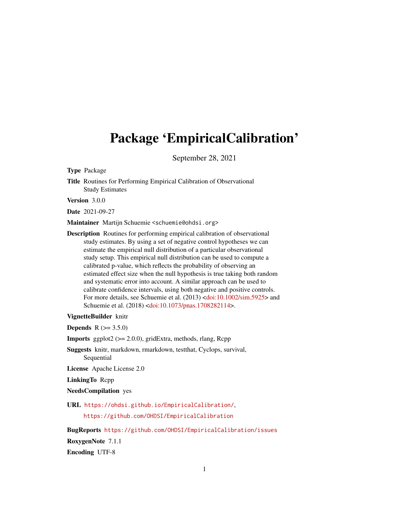# Package 'EmpiricalCalibration'

September 28, 2021

Type Package

Title Routines for Performing Empirical Calibration of Observational Study Estimates

Version 3.0.0

Date 2021-09-27

Maintainer Martijn Schuemie <schuemie@ohdsi.org>

Description Routines for performing empirical calibration of observational study estimates. By using a set of negative control hypotheses we can estimate the empirical null distribution of a particular observational study setup. This empirical null distribution can be used to compute a calibrated p-value, which reflects the probability of observing an estimated effect size when the null hypothesis is true taking both random and systematic error into account. A similar approach can be used to calibrate confidence intervals, using both negative and positive controls. For more details, see Schuemie et al. (2013) [<doi:10.1002/sim.5925>](https://doi.org/10.1002/sim.5925) and Schuemie et al. (2018) [<doi:10.1073/pnas.1708282114>](https://doi.org/10.1073/pnas.1708282114).

#### VignetteBuilder knitr

**Depends**  $R (= 3.5.0)$ 

**Imports** ggplot $2$  ( $>= 2.0.0$ ), gridExtra, methods, rlang, Rcpp

Suggests knitr, markdown, rmarkdown, testthat, Cyclops, survival, Sequential

License Apache License 2.0

LinkingTo Rcpp

NeedsCompilation yes

URL <https://ohdsi.github.io/EmpiricalCalibration/>,

<https://github.com/OHDSI/EmpiricalCalibration>

BugReports <https://github.com/OHDSI/EmpiricalCalibration/issues> RoxygenNote 7.1.1 Encoding UTF-8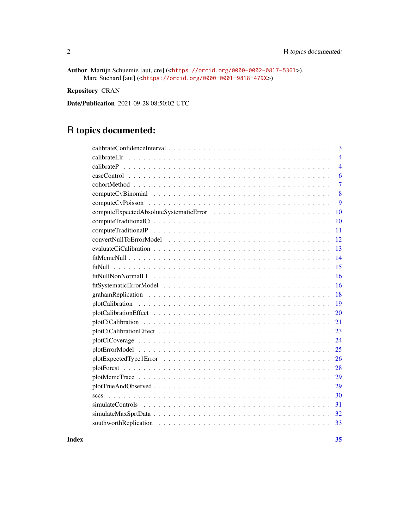Author Martijn Schuemie [aut, cre] (<<https://orcid.org/0000-0002-0817-5361>>), Marc Suchard [aut] (<<https://orcid.org/0000-0001-9818-479X>>)

Repository CRAN

Date/Publication 2021-09-28 08:50:02 UTC

# R topics documented:

| 3              |
|----------------|
| $\overline{4}$ |
| $\overline{4}$ |
| 6              |
| $\overline{7}$ |
| 8              |
| 9              |
| 10             |
| 10             |
| 11             |
| 12             |
| 13             |
| 14             |
| 15             |
| 16             |
| 16             |
| 18             |
| 19             |
| 20             |
| 21             |
| 23             |
| 24             |
| 25             |
| 26             |
| 28             |
| 29             |
| 29             |
| 30             |
| 31             |
| 32             |
| 33             |
|                |

**Index** [35](#page-34-0)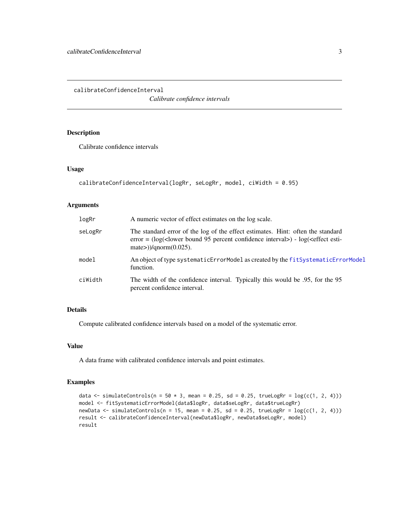<span id="page-2-0"></span>calibrateConfidenceInterval

*Calibrate confidence intervals*

# Description

Calibrate confidence intervals

# Usage

```
calibrateConfidenceInterval(logRr, seLogRr, model, ciWidth = 0.95)
```
# Arguments

| logRr   | A numeric vector of effect estimates on the log scale.                                                                                                                                           |
|---------|--------------------------------------------------------------------------------------------------------------------------------------------------------------------------------------------------|
| seLogRr | The standard error of the log of the effect estimates. Hint: often the standard<br>$error = (log(lower bound 95 percent confidence interval) - log(effect esti-$<br>mate> $)/$ qnorm $(0.025)$ . |
| mode1   | An object of type systematicErrorModel as created by the fitSystematicErrorModel<br>function.                                                                                                    |
| ciWidth | The width of the confidence interval. Typically this would be .95, for the 95<br>percent confidence interval.                                                                                    |

# Details

Compute calibrated confidence intervals based on a model of the systematic error.

## Value

A data frame with calibrated confidence intervals and point estimates.

# Examples

```
data \le simulateControls(n = 50 * 3, mean = 0.25, sd = 0.25, trueLogRr = log(c(1, 2, 4)))model <- fitSystematicErrorModel(data$logRr, data$seLogRr, data$trueLogRr)
newData \le simulateControls(n = 15, mean = 0.25, sd = 0.25, trueLogRr = log(c(1, 2, 4)))result <- calibrateConfidenceInterval(newData$logRr, newData$seLogRr, model)
result
```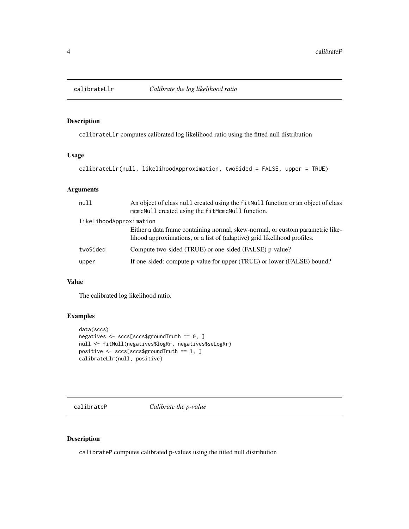<span id="page-3-0"></span>

# Description

calibrateLlr computes calibrated log likelihood ratio using the fitted null distribution

# Usage

```
calibrateLlr(null, likelihoodApproximation, twoSided = FALSE, upper = TRUE)
```
# Arguments

| null                    | An object of class null created using the fit Null function or an object of class<br>mcmcNull created using the fitMcmcNull function.                      |
|-------------------------|------------------------------------------------------------------------------------------------------------------------------------------------------------|
| likelihoodApproximation |                                                                                                                                                            |
|                         | Either a data frame containing normal, skew-normal, or custom parametric like-<br>lihood approximations, or a list of (adaptive) grid likelihood profiles. |
| twoSided                | Compute two-sided (TRUE) or one-sided (FALSE) p-value?                                                                                                     |
| upper                   | If one-sided: compute p-value for upper (TRUE) or lower (FALSE) bound?                                                                                     |

#### Value

The calibrated log likelihood ratio.

# Examples

```
data(sccs)
negatives <- sccs[sccs$groundTruth == 0, ]
null <- fitNull(negatives$logRr, negatives$seLogRr)
positive <- sccs[sccs$groundTruth == 1, ]
calibrateLlr(null, positive)
```
calibrateP *Calibrate the p-value*

# Description

calibrateP computes calibrated p-values using the fitted null distribution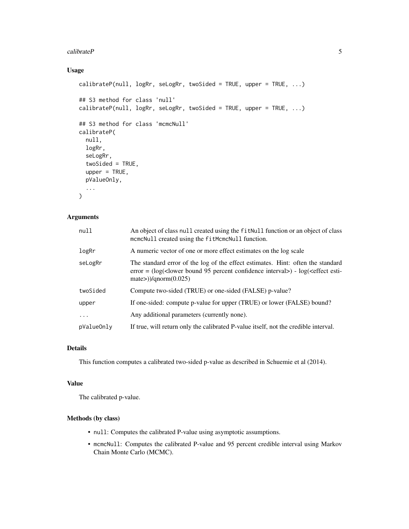#### $calP$  5

# Usage

```
calibrateP(null, logRr, seLogRr, twoSided = TRUE, upper = TRUE, ...)
## S3 method for class 'null'
calibrateP(null, logRr, seLogRr, twoSided = TRUE, upper = TRUE, ...)
## S3 method for class 'mcmcNull'
calibrateP(
  null,
 logRr,
  seLogRr,
  twoSided = TRUE,
  upper = TRUE,pValueOnly,
  ...
\mathcal{L}
```
# Arguments

| null       | An object of class null created using the fit Null function or an object of class<br>mcmcNull created using the fitMcmcNull function.                                                                         |
|------------|---------------------------------------------------------------------------------------------------------------------------------------------------------------------------------------------------------------|
| logRr      | A numeric vector of one or more effect estimates on the log scale                                                                                                                                             |
| seLogRr    | The standard error of the log of the effect estimates. Hint: often the standard<br>error = $(\log(\text{clower bound 95 percent confidence interval}) - \log(\text{effect esti})$<br>$mate$ )/qnorm $(0.025)$ |
| twoSided   | Compute two-sided (TRUE) or one-sided (FALSE) p-value?                                                                                                                                                        |
| upper      | If one-sided: compute p-value for upper (TRUE) or lower (FALSE) bound?                                                                                                                                        |
| .          | Any additional parameters (currently none).                                                                                                                                                                   |
| pValueOnly | If true, will return only the calibrated P-value itself, not the credible interval.                                                                                                                           |

## Details

This function computes a calibrated two-sided p-value as described in Schuemie et al (2014).

#### Value

The calibrated p-value.

# Methods (by class)

- null: Computes the calibrated P-value using asymptotic assumptions.
- mcmcNull: Computes the calibrated P-value and 95 percent credible interval using Markov Chain Monte Carlo (MCMC).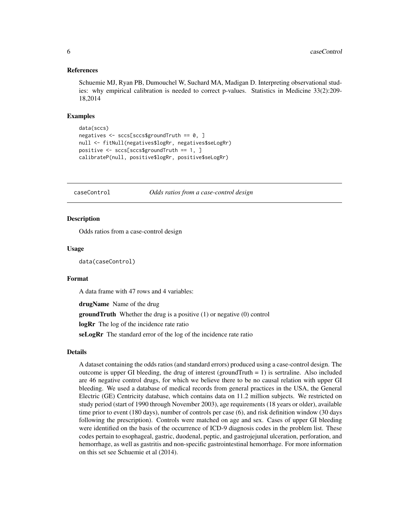#### <span id="page-5-0"></span>References

Schuemie MJ, Ryan PB, Dumouchel W, Suchard MA, Madigan D. Interpreting observational studies: why empirical calibration is needed to correct p-values. Statistics in Medicine 33(2):209- 18,2014

#### Examples

```
data(sccs)
negatives <- sccs[sccs$groundTruth == 0, ]
null <- fitNull(negatives$logRr, negatives$seLogRr)
positive <- sccs[sccs$groundTruth == 1, ]
calibrateP(null, positive$logRr, positive$seLogRr)
```
caseControl *Odds ratios from a case-control design*

## Description

Odds ratios from a case-control design

#### Usage

data(caseControl)

# Format

A data frame with 47 rows and 4 variables:

drugName Name of the drug

**groundTruth** Whether the drug is a positive (1) or negative (0) control

logRr The log of the incidence rate ratio

seLogRr The standard error of the log of the incidence rate ratio

#### Details

A dataset containing the odds ratios (and standard errors) produced using a case-control design. The outcome is upper GI bleeding, the drug of interest (groundTruth  $= 1$ ) is sertraline. Also included are 46 negative control drugs, for which we believe there to be no causal relation with upper GI bleeding. We used a database of medical records from general practices in the USA, the General Electric (GE) Centricity database, which contains data on 11.2 million subjects. We restricted on study period (start of 1990 through November 2003), age requirements (18 years or older), available time prior to event (180 days), number of controls per case (6), and risk definition window (30 days following the prescription). Controls were matched on age and sex. Cases of upper GI bleeding were identified on the basis of the occurrence of ICD-9 diagnosis codes in the problem list. These codes pertain to esophageal, gastric, duodenal, peptic, and gastrojejunal ulceration, perforation, and hemorrhage, as well as gastritis and non-specific gastrointestinal hemorrhage. For more information on this set see Schuemie et al (2014).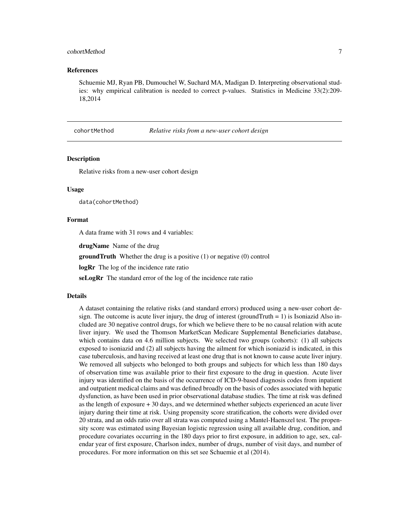## <span id="page-6-0"></span>cohortMethod 7

#### References

Schuemie MJ, Ryan PB, Dumouchel W, Suchard MA, Madigan D. Interpreting observational studies: why empirical calibration is needed to correct p-values. Statistics in Medicine 33(2):209- 18,2014

cohortMethod *Relative risks from a new-user cohort design*

#### Description

Relative risks from a new-user cohort design

#### Usage

data(cohortMethod)

#### Format

A data frame with 31 rows and 4 variables:

drugName Name of the drug

**groundTruth** Whether the drug is a positive (1) or negative (0) control

logRr The log of the incidence rate ratio

seLogRr The standard error of the log of the incidence rate ratio

#### Details

A dataset containing the relative risks (and standard errors) produced using a new-user cohort design. The outcome is acute liver injury, the drug of interest (ground Truth  $= 1$ ) is Isoniazid Also included are 30 negative control drugs, for which we believe there to be no causal relation with acute liver injury. We used the Thomson MarketScan Medicare Supplemental Beneficiaries database, which contains data on 4.6 million subjects. We selected two groups (cohorts): (1) all subjects exposed to isoniazid and (2) all subjects having the ailment for which isoniazid is indicated, in this case tuberculosis, and having received at least one drug that is not known to cause acute liver injury. We removed all subjects who belonged to both groups and subjects for which less than 180 days of observation time was available prior to their first exposure to the drug in question. Acute liver injury was identified on the basis of the occurrence of ICD-9-based diagnosis codes from inpatient and outpatient medical claims and was defined broadly on the basis of codes associated with hepatic dysfunction, as have been used in prior observational database studies. The time at risk was defined as the length of exposure + 30 days, and we determined whether subjects experienced an acute liver injury during their time at risk. Using propensity score stratification, the cohorts were divided over 20 strata, and an odds ratio over all strata was computed using a Mantel-Haenszel test. The propensity score was estimated using Bayesian logistic regression using all available drug, condition, and procedure covariates occurring in the 180 days prior to first exposure, in addition to age, sex, calendar year of first exposure, Charlson index, number of drugs, number of visit days, and number of procedures. For more information on this set see Schuemie et al (2014).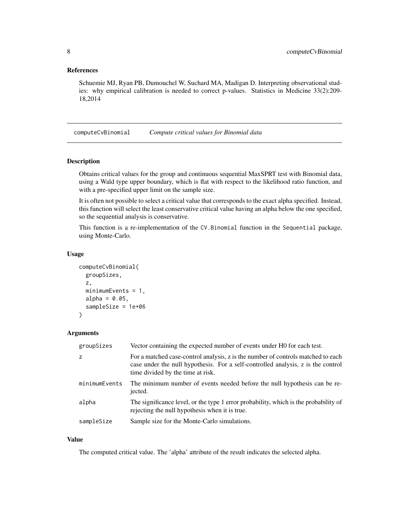## <span id="page-7-0"></span>References

Schuemie MJ, Ryan PB, Dumouchel W, Suchard MA, Madigan D. Interpreting observational studies: why empirical calibration is needed to correct p-values. Statistics in Medicine 33(2):209- 18,2014

computeCvBinomial *Compute critical values for Binomial data*

# Description

Obtains critical values for the group and continuous sequential MaxSPRT test with Binomial data, using a Wald type upper boundary, which is flat with respect to the likelihood ratio function, and with a pre-specified upper limit on the sample size.

It is often not possible to select a critical value that corresponds to the exact alpha specified. Instead, this function will select the least conservative critical value having an alpha below the one specified, so the sequential analysis is conservative.

This function is a re-implementation of the CV.Binomial function in the Sequential package, using Monte-Carlo.

#### Usage

```
computeCvBinomial(
  groupSizes,
  z,
  minimumEvents = 1,
 alpha = 0.05,
  sampleSize = 1e+06
)
```
#### Arguments

| groupSizes    | Vector containing the expected number of events under H0 for each test.                                                                                                                                   |
|---------------|-----------------------------------------------------------------------------------------------------------------------------------------------------------------------------------------------------------|
| z             | For a matched case-control analysis, z is the number of controls matched to each<br>case under the null hypothesis. For a self-controlled analysis, z is the control<br>time divided by the time at risk. |
| minimumEvents | The minimum number of events needed before the null hypothesis can be re-<br>jected.                                                                                                                      |
| alpha         | The significance level, or the type 1 error probability, which is the probability of<br>rejecting the null hypothesis when it is true.                                                                    |
| sampleSize    | Sample size for the Monte-Carlo simulations.                                                                                                                                                              |

# Value

The computed critical value. The 'alpha' attribute of the result indicates the selected alpha.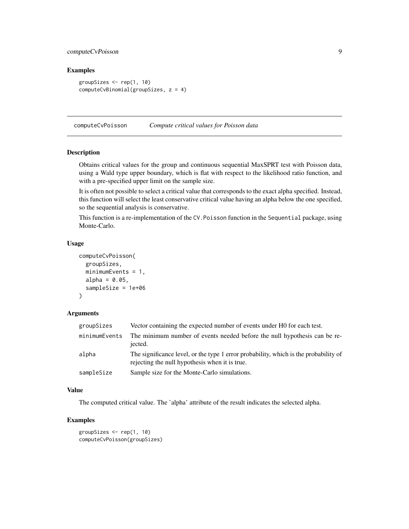# <span id="page-8-0"></span>computeCvPoisson 9

# Examples

```
groupSizes <- rep(1, 10)
computeCvBinomial(groupSizes, z = 4)
```
computeCvPoisson *Compute critical values for Poisson data*

# Description

Obtains critical values for the group and continuous sequential MaxSPRT test with Poisson data, using a Wald type upper boundary, which is flat with respect to the likelihood ratio function, and with a pre-specified upper limit on the sample size.

It is often not possible to select a critical value that corresponds to the exact alpha specified. Instead, this function will select the least conservative critical value having an alpha below the one specified, so the sequential analysis is conservative.

This function is a re-implementation of the CV.Poisson function in the Sequential package, using Monte-Carlo.

#### Usage

```
computeCvPoisson(
  groupSizes,
 minimumEvents = 1,
  alpha = 0.05,
  sampleSize = 1e+06
)
```
#### Arguments

| groupSizes    | Vector containing the expected number of events under H0 for each test.                                                                |
|---------------|----------------------------------------------------------------------------------------------------------------------------------------|
| minimumEvents | The minimum number of events needed before the null hypothesis can be re-<br>jected.                                                   |
| alpha         | The significance level, or the type 1 error probability, which is the probability of<br>rejecting the null hypothesis when it is true. |
| sampleSize    | Sample size for the Monte-Carlo simulations.                                                                                           |

# Value

The computed critical value. The 'alpha' attribute of the result indicates the selected alpha.

### Examples

groupSizes <- rep(1, 10) computeCvPoisson(groupSizes)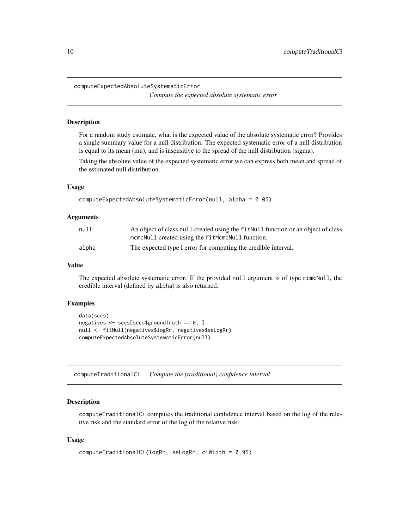<span id="page-9-0"></span>computeExpectedAbsoluteSystematicError

*Compute the expected absolute systematic error*

## Description

For a random study estimate, what is the expected value of the absolute systematic error? Provides a single summary value for a null distribution. The expected systematic error of a null distribution is equal to its mean (mu), and is insensitive to the spread of the null distribution (sigma).

Taking the absolute value of the expected systematic error we can express both mean and spread of the estimated null distribution.

#### Usage

```
computeExpectedAbsoluteSystematicError(null, alpha = 0.05)
```
#### Arguments

| null  | An object of class null created using the fit Null function or an object of class |
|-------|-----------------------------------------------------------------------------------|
|       | mcmcNull created using the fitMcmcNull function.                                  |
| alpha | The expected type I error for computing the credible interval.                    |

## Value

The expected absolute systematic error. If the provided null argument is of type mcmcNull, the credible interval (defined by alpha) is also returned.

#### Examples

```
data(sccs)
negatives <- sccs[sccs$groundTruth == 0, ]
null <- fitNull(negatives$logRr, negatives$seLogRr)
computeExpectedAbsoluteSystematicError(null)
```
computeTraditionalCi *Compute the (traditional) confidence interval*

#### **Description**

computeTraditionalCi computes the traditional confidence interval based on the log of the relative risk and the standard error of the log of the relative risk.

#### Usage

```
computeTraditionalCi(logRr, seLogRr, ciWidth = 0.95)
```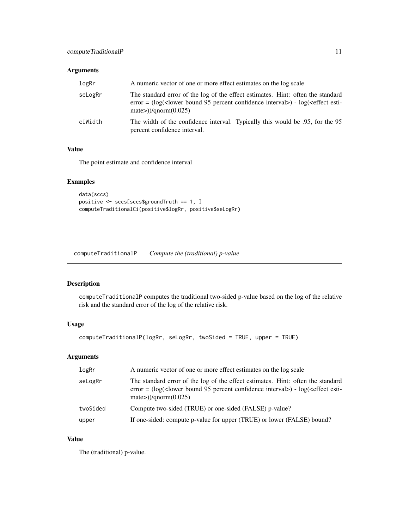## <span id="page-10-0"></span>Arguments

| logRr   | A numeric vector of one or more effect estimates on the log scale                                                                                                                                                        |
|---------|--------------------------------------------------------------------------------------------------------------------------------------------------------------------------------------------------------------------------|
| seLogRr | The standard error of the log of the effect estimates. Hint: often the standard<br>error = $(\log(\text{clower bound } 95 \text{ percent confidence interval}) - \log(\text{effect esti})$<br>mate> $)/$ qnorm $(0.025)$ |
| ciWidth | The width of the confidence interval. Typically this would be .95, for the 95<br>percent confidence interval.                                                                                                            |

# Value

The point estimate and confidence interval

# Examples

```
data(sccs)
positive <- sccs[sccs$groundTruth == 1, ]
computeTraditionalCi(positive$logRr, positive$seLogRr)
```
computeTraditionalP *Compute the (traditional) p-value*

## Description

computeTraditionalP computes the traditional two-sided p-value based on the log of the relative risk and the standard error of the log of the relative risk.

# Usage

```
computeTraditionalP(logRr, seLogRr, twoSided = TRUE, upper = TRUE)
```
# Arguments

| logRr    | A numeric vector of one or more effect estimates on the log scale                                                                                                                              |
|----------|------------------------------------------------------------------------------------------------------------------------------------------------------------------------------------------------|
| seLogRr  | The standard error of the log of the effect estimates. Hint: often the standard<br>$error = (log(lower bound 95 percent confidence interval) - log(effect esti-$<br>mate $\geq$ )/qnorm(0.025) |
| twoSided | Compute two-sided (TRUE) or one-sided (FALSE) p-value?                                                                                                                                         |
| upper    | If one-sided: compute p-value for upper (TRUE) or lower (FALSE) bound?                                                                                                                         |

# Value

The (traditional) p-value.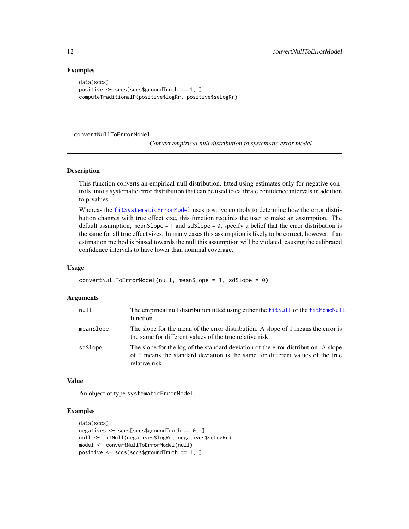#### Examples

```
data(sccs)
positive <- sccs[sccs$groundTruth == 1, ]
computeTraditionalP(positive$logRr, positive$seLogRr)
```
convertNullToErrorModel

*Convert empirical null distribution to systematic error model*

#### Description

This function converts an empirical null distribution, fitted using estimates only for negative controls, into a systematic error distribution that can be used to calibrate confidence intervals in addition to p-values.

Whereas the [fitSystematicErrorModel](#page-15-1) uses positive controls to determine how the error distribution changes with true effect size, this function requires the user to make an assumption. The default assumption, meanSlope = 1 and sdSlope =  $\theta$ , specify a belief that the error distribution is the same for all true effect sizes. In many cases this assumption is likely to be correct, however, if an estimation method is biased towards the null this assumption will be violated, causing the calibrated confidence intervals to have lower than nominal coverage.

#### Usage

```
convertNullToErrorModel(null, meanSlope = 1, sdSlope = 0)
```
## Arguments

| null      | The empirical null distribution fitted using either the fitNull or the fitMcmcNull<br>function.                                                                                        |
|-----------|----------------------------------------------------------------------------------------------------------------------------------------------------------------------------------------|
| meanSlope | The slope for the mean of the error distribution. A slope of 1 means the error is<br>the same for different values of the true relative risk.                                          |
| sdSlope   | The slope for the log of the standard deviation of the error distribution. A slope<br>of 0 means the standard deviation is the same for different values of the true<br>relative risk. |

#### Value

An object of type systematicErrorModel.

# Examples

```
data(sccs)
negatives <- sccs[sccs$groundTruth == 0, ]
null <- fitNull(negatives$logRr, negatives$seLogRr)
model <- convertNullToErrorModel(null)
positive <- sccs[sccs$groundTruth == 1, ]
```
<span id="page-11-0"></span>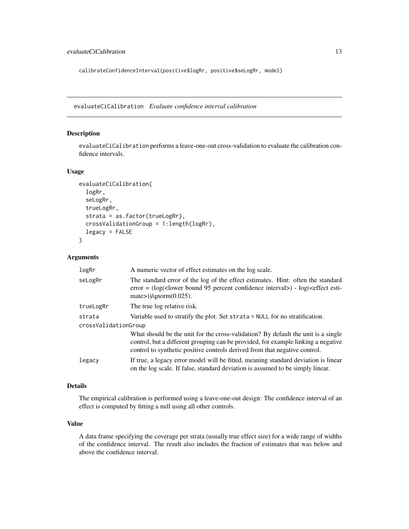<span id="page-12-0"></span>calibrateConfidenceInterval(positive\$logRr, positive\$seLogRr, model)

<span id="page-12-1"></span>evaluateCiCalibration *Evaluate confidence interval calibration*

# Description

evaluateCiCalibration performs a leave-one-out cross-validation to evaluate the calibration confidence intervals.

#### Usage

```
evaluateCiCalibration(
  logRr,
  seLogRr,
  trueLogRr,
  strata = as.factor(trueLogRr),
  crossValidationGroup = 1:length(logRr),
  legacy = FALSE
\lambda
```
# Arguments

| logRr                | A numeric vector of effect estimates on the log scale.                                                                                                                                                                                               |
|----------------------|------------------------------------------------------------------------------------------------------------------------------------------------------------------------------------------------------------------------------------------------------|
| seLogRr              | The standard error of the log of the effect estimates. Hint: often the standard<br>error = $(\log(\text{clower bound } 95 \text{ percent confidence interval}) - \log(\text{effect esti-}$<br>mate $\geq$ )/qnorm(0.025).                            |
| trueLogRr            | The true log relative risk.                                                                                                                                                                                                                          |
| strata               | Variable used to stratify the plot. Set strata = NULL for no stratification.                                                                                                                                                                         |
| crossValidationGroup |                                                                                                                                                                                                                                                      |
|                      | What should be the unit for the cross-validation? By default the unit is a single<br>control, but a different grouping can be provided, for example linking a negative<br>control to synthetic positive controls derived from that negative control. |
| legacy               | If true, a legacy error model will be fitted, meaning standard deviation is linear<br>on the log scale. If false, standard deviation is assumed to be simply linear.                                                                                 |

# Details

The empirical calibration is performed using a leave-one-out design: The confidence interval of an effect is computed by fitting a null using all other controls.

## Value

A data frame specifying the coverage per strata (usually true effect size) for a wide range of widths of the confidence interval. The result also includes the fraction of estimates that was below and above the confidence interval.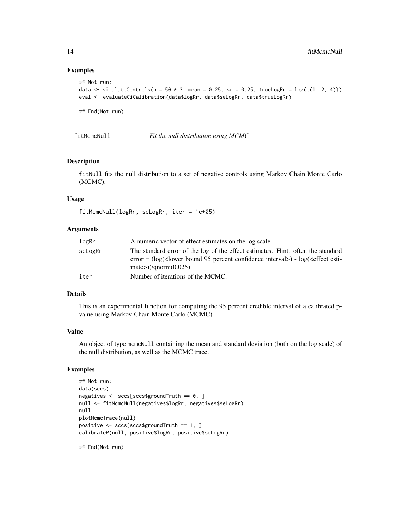## Examples

```
## Not run:
data \le simulateControls(n = 50 \star 3, mean = 0.25, sd = 0.25, trueLogRr = log(c(1, 2, 4)))eval <- evaluateCiCalibration(data$logRr, data$seLogRr, data$trueLogRr)
## End(Not run)
```
<span id="page-13-1"></span>

fitMcmcNull *Fit the null distribution using MCMC*

## Description

fitNull fits the null distribution to a set of negative controls using Markov Chain Monte Carlo (MCMC).

#### Usage

fitMcmcNull(logRr, seLogRr, iter = 1e+05)

#### Arguments

| logRr   | A numeric vector of effect estimates on the log scale                                                                                                                                                                    |
|---------|--------------------------------------------------------------------------------------------------------------------------------------------------------------------------------------------------------------------------|
| seLogRr | The standard error of the log of the effect estimates. Hint: often the standard<br>error = $(\log(\text{clower bound } 95 \text{ percent confidence interval}) - \log(\text{effect esti-}$<br>mate $\geq$ )/qnorm(0.025) |
| iter    | Number of iterations of the MCMC.                                                                                                                                                                                        |

## Details

This is an experimental function for computing the 95 percent credible interval of a calibrated pvalue using Markov-Chain Monte Carlo (MCMC).

#### Value

An object of type mcmcNull containing the mean and standard deviation (both on the log scale) of the null distribution, as well as the MCMC trace.

#### Examples

```
## Not run:
data(sccs)
negatives <- sccs[sccs$groundTruth == 0, ]
null <- fitMcmcNull(negatives$logRr, negatives$seLogRr)
null
plotMcmcTrace(null)
positive <- sccs[sccs$groundTruth == 1, ]
calibrateP(null, positive$logRr, positive$seLogRr)
```
## End(Not run)

<span id="page-13-0"></span>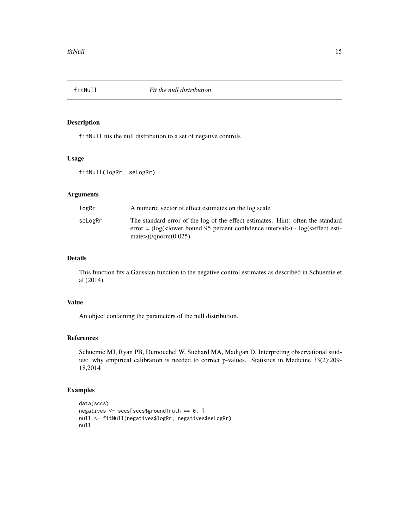<span id="page-14-1"></span><span id="page-14-0"></span>

## Description

fitNull fits the null distribution to a set of negative controls

## Usage

```
fitNull(logRr, seLogRr)
```
# Arguments

| logRr   | A numeric vector of effect estimates on the log scale                                                                                                                                                                       |
|---------|-----------------------------------------------------------------------------------------------------------------------------------------------------------------------------------------------------------------------------|
| seLogRr | The standard error of the log of the effect estimates. Hint: often the standard<br>error = $(\log(\text{clower bound } 95 \text{ percent confidence interval}) - \log(\text{effect esti-1}))$<br>mate $\geq$ )/qnorm(0.025) |

# Details

This function fits a Gaussian function to the negative control estimates as described in Schuemie et al (2014).

# Value

An object containing the parameters of the null distribution.

# References

Schuemie MJ, Ryan PB, Dumouchel W, Suchard MA, Madigan D. Interpreting observational studies: why empirical calibration is needed to correct p-values. Statistics in Medicine 33(2):209- 18,2014

# Examples

```
data(sccs)
negatives <- sccs[sccs$groundTruth == 0, ]
null <- fitNull(negatives$logRr, negatives$seLogRr)
null
```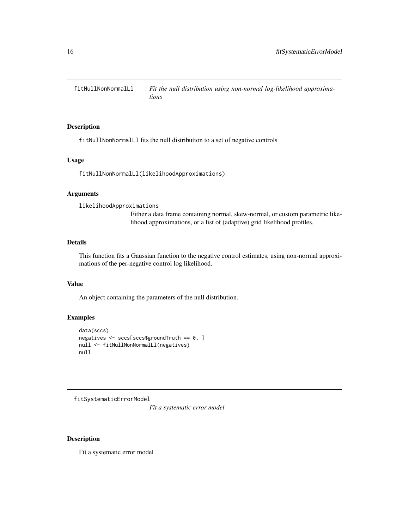<span id="page-15-0"></span>fitNullNonNormalLl *Fit the null distribution using non-normal log-likelihood approximations*

## Description

fitNullNonNormalLl fits the null distribution to a set of negative controls

#### Usage

fitNullNonNormalLl(likelihoodApproximations)

#### Arguments

likelihoodApproximations Either a data frame containing normal, skew-normal, or custom parametric likelihood approximations, or a list of (adaptive) grid likelihood profiles.

# Details

This function fits a Gaussian function to the negative control estimates, using non-normal approximations of the per-negative control log likelihood.

# Value

An object containing the parameters of the null distribution.

#### Examples

```
data(sccs)
negatives <- sccs[sccs$groundTruth == 0, ]
null <- fitNullNonNormalLl(negatives)
null
```
<span id="page-15-1"></span>fitSystematicErrorModel

*Fit a systematic error model*

#### Description

Fit a systematic error model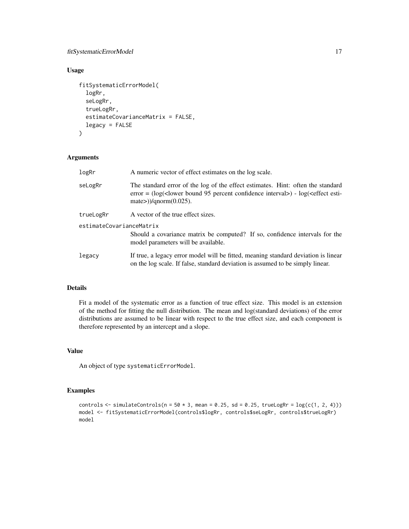# fitSystematicErrorModel 17

# Usage

```
fitSystematicErrorModel(
  logRr,
  seLogRr,
  trueLogRr,
  estimateCovarianceMatrix = FALSE,
  legacy = FALSE
)
```
# Arguments

| logRr                    | A numeric vector of effect estimates on the log scale.                                                                                                                                                                     |  |
|--------------------------|----------------------------------------------------------------------------------------------------------------------------------------------------------------------------------------------------------------------------|--|
| seLogRr                  | The standard error of the log of the effect estimates. Hint: often the standard<br>error = $(\log(\text{clower bound } 95 \text{ percent confidence interval}) - \log(\text{effect esti-1})$<br>mate $\gg$ )/qnorm(0.025). |  |
| trueLogRr                | A vector of the true effect sizes.                                                                                                                                                                                         |  |
| estimateCovarianceMatrix |                                                                                                                                                                                                                            |  |
|                          | Should a covariance matrix be computed? If so, confidence intervals for the<br>model parameters will be available.                                                                                                         |  |
| legacy                   | If true, a legacy error model will be fitted, meaning standard deviation is linear<br>on the log scale. If false, standard deviation is assumed to be simply linear.                                                       |  |

# Details

Fit a model of the systematic error as a function of true effect size. This model is an extension of the method for fitting the null distribution. The mean and log(standard deviations) of the error distributions are assumed to be linear with respect to the true effect size, and each component is therefore represented by an intercept and a slope.

## Value

An object of type systematicErrorModel.

# Examples

```
controls \le simulateControls(n = 50 \star 3, mean = 0.25, sd = 0.25, trueLogRr = log(c(1, 2, 4)))model <- fitSystematicErrorModel(controls$logRr, controls$seLogRr, controls$trueLogRr)
model
```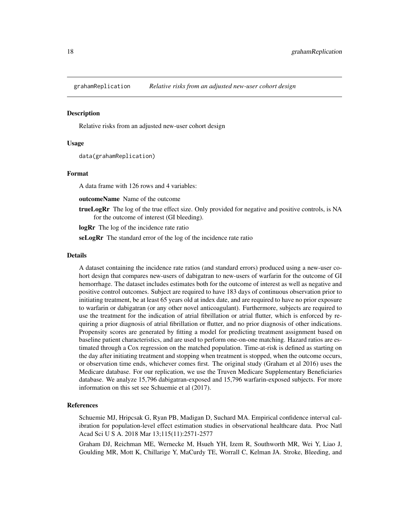<span id="page-17-0"></span>grahamReplication *Relative risks from an adjusted new-user cohort design*

#### Description

Relative risks from an adjusted new-user cohort design

#### Usage

data(grahamReplication)

#### Format

A data frame with 126 rows and 4 variables:

outcomeName Name of the outcome

**trueLogRr** The log of the true effect size. Only provided for negative and positive controls, is NA for the outcome of interest (GI bleeding).

logRr The log of the incidence rate ratio

seLogRr The standard error of the log of the incidence rate ratio

#### Details

A dataset containing the incidence rate ratios (and standard errors) produced using a new-user cohort design that compares new-users of dabigatran to new-users of warfarin for the outcome of GI hemorrhage. The dataset includes estimates both for the outcome of interest as well as negative and positive control outcomes. Subject are required to have 183 days of continuous observation prior to initiating treatment, be at least 65 years old at index date, and are required to have no prior exposure to warfarin or dabigatran (or any other novel anticoagulant). Furthermore, subjects are required to use the treatment for the indication of atrial fibrillation or atrial flutter, which is enforced by requiring a prior diagnosis of atrial fibrillation or flutter, and no prior diagnosis of other indications. Propensity scores are generated by fitting a model for predicting treatment assignment based on baseline patient characteristics, and are used to perform one-on-one matching. Hazard ratios are estimated through a Cox regression on the matched population. Time-at-risk is defined as starting on the day after initiating treatment and stopping when treatment is stopped, when the outcome occurs, or observation time ends, whichever comes first. The original study (Graham et al 2016) uses the Medicare database. For our replication, we use the Truven Medicare Supplementary Beneficiaries database. We analyze 15,796 dabigatran-exposed and 15,796 warfarin-exposed subjects. For more information on this set see Schuemie et al (2017).

#### References

Schuemie MJ, Hripcsak G, Ryan PB, Madigan D, Suchard MA. Empirical confidence interval calibration for population-level effect estimation studies in observational healthcare data. Proc Natl Acad Sci U S A. 2018 Mar 13;115(11):2571-2577

Graham DJ, Reichman ME, Wernecke M, Hsueh YH, Izem R, Southworth MR, Wei Y, Liao J, Goulding MR, Mott K, Chillarige Y, MaCurdy TE, Worrall C, Kelman JA. Stroke, Bleeding, and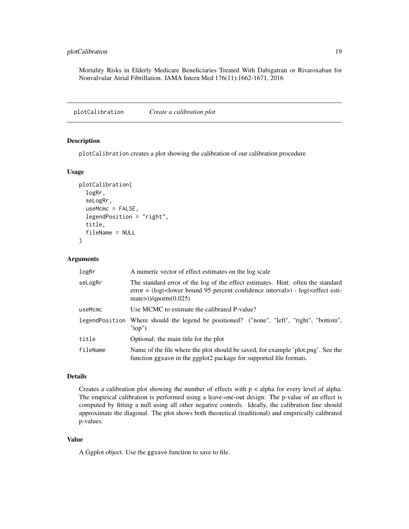<span id="page-18-0"></span>Mortality Risks in Elderly Medicare Beneficiaries Treated With Dabigatran or Rivaroxaban for Nonvalvular Atrial Fibrillation. JAMA Intern Med 176(11):1662-1671, 2016

plotCalibration *Create a calibration plot*

#### Description

plotCalibration creates a plot showing the calibration of our calibration procedure

#### Usage

```
plotCalibration(
  logRr,
  seLogRr,
  useMcmc = FALSE,
  legendPosition = "right",
  title,
  fileName = NULL
)
```
#### Arguments

| logRr    | A numeric vector of effect estimates on the log scale                                                                                                                                                                  |
|----------|------------------------------------------------------------------------------------------------------------------------------------------------------------------------------------------------------------------------|
| seLogRr  | The standard error of the log of the effect estimates. Hint: often the standard<br>error = $(\log(\text{clower bound } 95 \text{ percent confidence interval}) - \log(\text{effect esti-}$<br>$mate$ )/ $qnorm(0.025)$ |
| useMcmc  | Use MCMC to estimate the calibrated P-value?                                                                                                                                                                           |
|          | legendPosition Where should the legend be positioned? ("none", "left", "right", "bottom",<br>"top")                                                                                                                    |
| title    | Optional: the main title for the plot                                                                                                                                                                                  |
| fileName | Name of the file where the plot should be saved, for example 'plot.png'. See the<br>function ggsave in the ggplot2 package for supported file formats.                                                                 |

#### Details

Creates a calibration plot showing the number of effects with p < alpha for every level of alpha. The empirical calibration is performed using a leave-one-out design: The p-value of an effect is computed by fitting a null using all other negative controls. Ideally, the calibration line should approximate the diagonal. The plot shows both theoretical (traditional) and empirically calibrated p-values.

# Value

A Ggplot object. Use the ggsave function to save to file.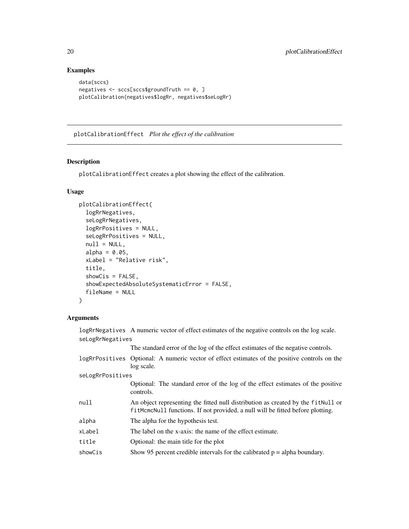# Examples

```
data(sccs)
negatives <- sccs[sccs$groundTruth == 0, ]
plotCalibration(negatives$logRr, negatives$seLogRr)
```
plotCalibrationEffect *Plot the effect of the calibration*

# Description

plotCalibrationEffect creates a plot showing the effect of the calibration.

# Usage

```
plotCalibrationEffect(
  logRrNegatives,
  seLogRrNegatives,
  logRrPositives = NULL,
  seLogRrPositives = NULL,
  null = NULL,alpha = 0.05,
  xLabel = "Relative risk",
  title,
  showCis = FALSE,showExpectedAbsoluteSystematicError = FALSE,
  fileName = NULL
\lambda
```
## Arguments

logRrNegatives A numeric vector of effect estimates of the negative controls on the log scale. seLogRrNegatives

The standard error of the log of the effect estimates of the negative controls.

| logRrPositives Optional: A numeric vector of effect estimates of the positive controls on the |
|-----------------------------------------------------------------------------------------------|
| log scale.                                                                                    |

seLogRrPositives

|        | Optional: The standard error of the log of the effect estimates of the positive<br>controls.                                                                        |
|--------|---------------------------------------------------------------------------------------------------------------------------------------------------------------------|
| null   | An object representing the fitted null distribution as created by the fit Null or<br>fitMcmcNull functions. If not provided, a null will be fitted before plotting. |
| alpha  | The alpha for the hypothesis test.                                                                                                                                  |
| xLabel | The label on the x-axis: the name of the effect estimate.                                                                                                           |
|        |                                                                                                                                                                     |

title Optional: the main title for the plot

showCis Show 95 percent credible intervals for the calibrated  $p = alpha$  boundary.

<span id="page-19-0"></span>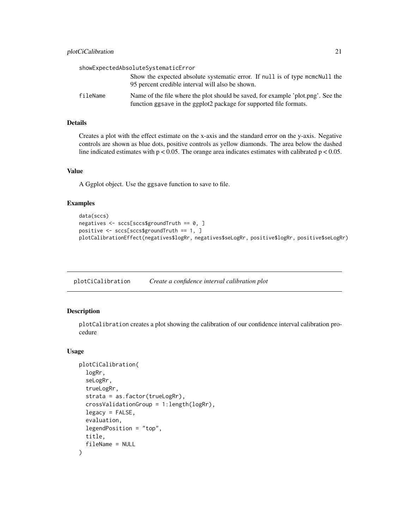<span id="page-20-0"></span>

|          | showExpectedAbsoluteSystematicError                                                                                                                    |
|----------|--------------------------------------------------------------------------------------------------------------------------------------------------------|
|          | Show the expected absolute systematic error. If null is of type mcmcNull the<br>95 percent credible interval will also be shown.                       |
| fileName | Name of the file where the plot should be saved, for example 'plot.png'. See the<br>function ggsave in the ggplot2 package for supported file formats. |

Creates a plot with the effect estimate on the x-axis and the standard error on the y-axis. Negative controls are shown as blue dots, positive controls as yellow diamonds. The area below the dashed line indicated estimates with  $p < 0.05$ . The orange area indicates estimates with calibrated  $p < 0.05$ .

#### Value

A Ggplot object. Use the ggsave function to save to file.

## Examples

```
data(sccs)
negatives <- sccs[sccs$groundTruth == 0, ]
positive <- sccs[sccs$groundTruth == 1, ]
plotCalibrationEffect(negatives$logRr, negatives$seLogRr, positive$logRr, positive$seLogRr)
```
plotCiCalibration *Create a confidence interval calibration plot*

#### Description

plotCalibration creates a plot showing the calibration of our confidence interval calibration procedure

#### Usage

```
plotCiCalibration(
  logRr,
  seLogRr,
  trueLogRr,
  strata = as.factor(trueLogRr),
  crossValidationGroup = 1:length(logRr),
  legacy = FALSE,
  evaluation,
  legendPosition = "top",
  title,
  fileName = NULL
)
```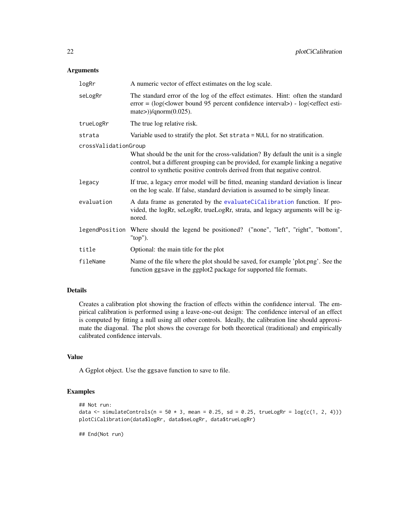# <span id="page-21-0"></span>Arguments

| logRr                | A numeric vector of effect estimates on the log scale.                                                                                                                                                                                               |
|----------------------|------------------------------------------------------------------------------------------------------------------------------------------------------------------------------------------------------------------------------------------------------|
| seLogRr              | The standard error of the log of the effect estimates. Hint: often the standard<br>$error = (log(lower bound 95 percent confidence interval) - log(effect esti-$<br>mate $\geq$ )/qnorm(0.025).                                                      |
| trueLogRr            | The true log relative risk.                                                                                                                                                                                                                          |
| strata               | Variable used to stratify the plot. Set strata = NULL for no stratification.                                                                                                                                                                         |
| crossValidationGroup |                                                                                                                                                                                                                                                      |
|                      | What should be the unit for the cross-validation? By default the unit is a single<br>control, but a different grouping can be provided, for example linking a negative<br>control to synthetic positive controls derived from that negative control. |
| legacy               | If true, a legacy error model will be fitted, meaning standard deviation is linear<br>on the log scale. If false, standard deviation is assumed to be simply linear.                                                                                 |
| evaluation           | A data frame as generated by the evaluateCiCalibration function. If pro-<br>vided, the logRr, seLogRr, trueLogRr, strata, and legacy arguments will be ig-<br>nored.                                                                                 |
|                      | legendPosition Where should the legend be positioned? ("none", "left", "right", "bottom",<br>" $top$ ").                                                                                                                                             |
| title                | Optional: the main title for the plot                                                                                                                                                                                                                |
| fileName             | Name of the file where the plot should be saved, for example 'plot.png'. See the<br>function ggsave in the ggplot2 package for supported file formats.                                                                                               |

# Details

Creates a calibration plot showing the fraction of effects within the confidence interval. The empirical calibration is performed using a leave-one-out design: The confidence interval of an effect is computed by fitting a null using all other controls. Ideally, the calibration line should approximate the diagonal. The plot shows the coverage for both theoretical (traditional) and empirically calibrated confidence intervals.

# Value

A Ggplot object. Use the ggsave function to save to file.

#### Examples

```
## Not run:
data \le simulateControls(n = 50 \star 3, mean = 0.25, sd = 0.25, trueLogRr = log(c(1, 2, 4)))plotCiCalibration(data$logRr, data$seLogRr, data$trueLogRr)
```
## End(Not run)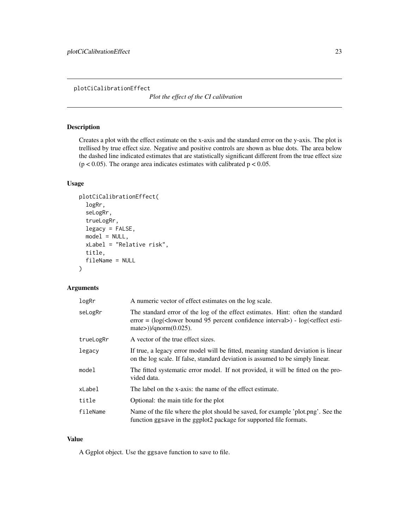<span id="page-22-0"></span>plotCiCalibrationEffect

*Plot the effect of the CI calibration*

# Description

Creates a plot with the effect estimate on the x-axis and the standard error on the y-axis. The plot is trellised by true effect size. Negative and positive controls are shown as blue dots. The area below the dashed line indicated estimates that are statistically significant different from the true effect size  $(p < 0.05)$ . The orange area indicates estimates with calibrated  $p < 0.05$ .

# Usage

```
plotCiCalibrationEffect(
  logRr,
  seLogRr,
  trueLogRr,
  legacy = FALSE,
  model = NULL,xLabel = "Relative risk",
  title,
  fileName = NULL
\mathcal{L}
```
# Arguments

| logRr     | A numeric vector of effect estimates on the log scale.                                                                                                                                          |
|-----------|-------------------------------------------------------------------------------------------------------------------------------------------------------------------------------------------------|
| seLogRr   | The standard error of the log of the effect estimates. Hint: often the standard<br>$error = (log(lower bound 95 percent confidence interval) - log(effect esti-$<br>mate $\geq$ )/qnorm(0.025). |
| trueLogRr | A vector of the true effect sizes.                                                                                                                                                              |
| legacy    | If true, a legacy error model will be fitted, meaning standard deviation is linear<br>on the log scale. If false, standard deviation is assumed to be simply linear.                            |
| model     | The fitted systematic error model. If not provided, it will be fitted on the pro-<br>vided data.                                                                                                |
| xLabel    | The label on the x-axis: the name of the effect estimate.                                                                                                                                       |
| title     | Optional: the main title for the plot                                                                                                                                                           |
| fileName  | Name of the file where the plot should be saved, for example 'plot.png'. See the<br>function ggsave in the ggplot2 package for supported file formats.                                          |

#### Value

A Ggplot object. Use the ggsave function to save to file.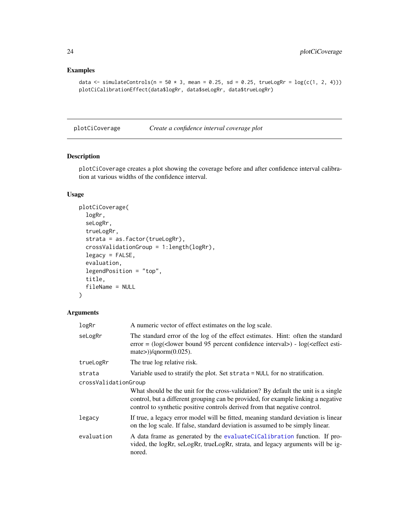# Examples

```
data \le simulateControls(n = 50 \star 3, mean = 0.25, sd = 0.25, trueLogRr = log(c(1, 2, 4)))plotCiCalibrationEffect(data$logRr, data$seLogRr, data$trueLogRr)
```
plotCiCoverage *Create a confidence interval coverage plot*

# Description

plotCiCoverage creates a plot showing the coverage before and after confidence interval calibration at various widths of the confidence interval.

# Usage

```
plotCiCoverage(
  logRr,
  seLogRr,
  trueLogRr,
  strata = as.factor(trueLogRr),
  crossValidationGroup = 1:length(logRr),
  legacy = FALSE,
  evaluation,
  legendPosition = "top",
  title,
  fileName = NULL
\mathcal{E}
```
#### Arguments

| logRr                | A numeric vector of effect estimates on the log scale.                                                                                                                                                                                               |  |
|----------------------|------------------------------------------------------------------------------------------------------------------------------------------------------------------------------------------------------------------------------------------------------|--|
| seLogRr              | The standard error of the log of the effect estimates. Hint: often the standard<br>error = $(\log(\text{clower bound 95 percent confidence interval}) - \log(\text{effect esti})$<br>mate $\geq$ )/qnorm(0.025).                                     |  |
| trueLogRr            | The true log relative risk.                                                                                                                                                                                                                          |  |
| strata               | Variable used to stratify the plot. Set strata = NULL for no stratification.                                                                                                                                                                         |  |
| crossValidationGroup |                                                                                                                                                                                                                                                      |  |
|                      | What should be the unit for the cross-validation? By default the unit is a single<br>control, but a different grouping can be provided, for example linking a negative<br>control to synthetic positive controls derived from that negative control. |  |
| legacy               | If true, a legacy error model will be fitted, meaning standard deviation is linear<br>on the log scale. If false, standard deviation is assumed to be simply linear.                                                                                 |  |
| evaluation           | A data frame as generated by the evaluateCiCalibration function. If pro-<br>vided, the logRr, seLogRr, trueLogRr, strata, and legacy arguments will be ig-<br>nored.                                                                                 |  |

<span id="page-23-0"></span>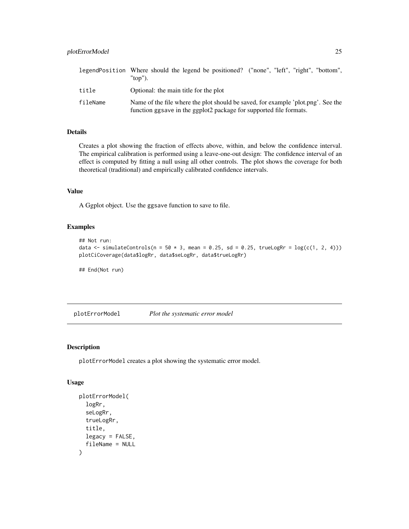# <span id="page-24-0"></span>plotErrorModel 25

|          | legendPosition Where should the legend be positioned? ("none", "left", "right", "bottom",<br>"top").                                                    |
|----------|---------------------------------------------------------------------------------------------------------------------------------------------------------|
| title    | Optional: the main title for the plot                                                                                                                   |
| fileName | Name of the file where the plot should be saved, for example 'plot, png'. See the<br>function ggsave in the ggplot2 package for supported file formats. |

## Details

Creates a plot showing the fraction of effects above, within, and below the confidence interval. The empirical calibration is performed using a leave-one-out design: The confidence interval of an effect is computed by fitting a null using all other controls. The plot shows the coverage for both theoretical (traditional) and empirically calibrated confidence intervals.

# Value

A Ggplot object. Use the ggsave function to save to file.

#### Examples

```
## Not run:
data \le simulateControls(n = 50 \star 3, mean = 0.25, sd = 0.25, trueLogRr = log(c(1, 2, 4)))plotCiCoverage(data$logRr, data$seLogRr, data$trueLogRr)
```
## End(Not run)

plotErrorModel *Plot the systematic error model*

## Description

plotErrorModel creates a plot showing the systematic error model.

#### Usage

```
plotErrorModel(
  logRr,
  seLogRr,
  trueLogRr,
  title,
  legacy = FALSE,
  fileName = NULL
)
```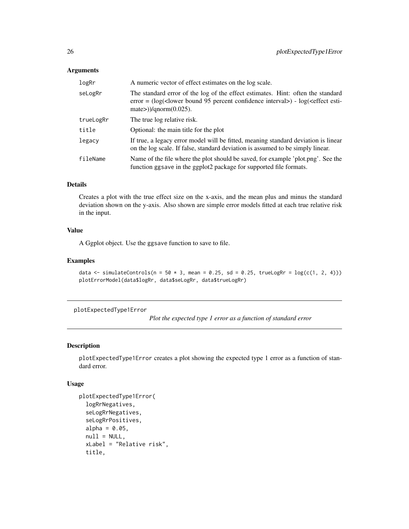## <span id="page-25-0"></span>Arguments

| logRr     | A numeric vector of effect estimates on the log scale.                                                                                                                                        |
|-----------|-----------------------------------------------------------------------------------------------------------------------------------------------------------------------------------------------|
| seLogRr   | The standard error of the log of the effect estimates. Hint: often the standard<br>$error = (log(lower bound 95 percent confidence interval) - log(effect esti-$<br>mate>) $)/qnorm(0.025)$ . |
| trueLogRr | The true log relative risk.                                                                                                                                                                   |
| title     | Optional: the main title for the plot                                                                                                                                                         |
| legacy    | If true, a legacy error model will be fitted, meaning standard deviation is linear<br>on the log scale. If false, standard deviation is assumed to be simply linear.                          |
| fileName  | Name of the file where the plot should be saved, for example 'plot.png'. See the<br>function ggsave in the ggplot2 package for supported file formats.                                        |

# Details

Creates a plot with the true effect size on the x-axis, and the mean plus and minus the standard deviation shown on the y-axis. Also shown are simple error models fitted at each true relative risk in the input.

# Value

A Ggplot object. Use the ggsave function to save to file.

## Examples

```
data \le simulateControls(n = 50 \star 3, mean = 0.25, sd = 0.25, trueLogRr = log(c(1, 2, 4)))plotErrorModel(data$logRr, data$seLogRr, data$trueLogRr)
```
plotExpectedType1Error

*Plot the expected type 1 error as a function of standard error*

# Description

plotExpectedType1Error creates a plot showing the expected type 1 error as a function of standard error.

#### Usage

```
plotExpectedType1Error(
  logRrNegatives,
  seLogRrNegatives,
  seLogRrPositives,
  alpha = 0.05,
  null = NULL,xLabel = "Relative risk",
  title,
```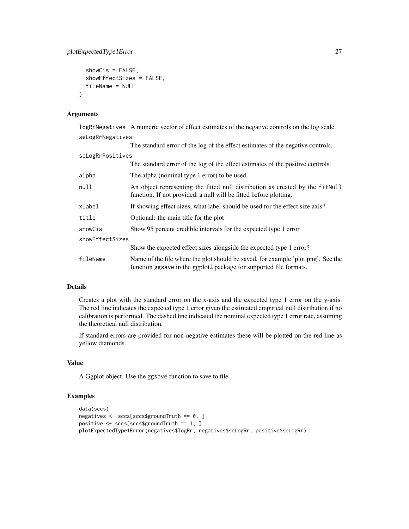```
showCis = FALSE,showEffectSizes = FALSE,
  fileName = NULL
\lambda
```
## Arguments

logRrNegatives A numeric vector of effect estimates of the negative controls on the log scale. seLogRrNegatives

|                  | The standard error of the log of the effect estimates of the negative controls.                                                                        |  |
|------------------|--------------------------------------------------------------------------------------------------------------------------------------------------------|--|
| seLogRrPositives |                                                                                                                                                        |  |
|                  | The standard error of the log of the effect estimates of the positive controls.                                                                        |  |
| alpha            | The alpha (nominal type 1 error) to be used.                                                                                                           |  |
| null             | An object representing the fitted null distribution as created by the fitNull<br>function. If not provided, a null will be fitted before plotting.     |  |
| xLabel           | If showing effect sizes, what label should be used for the effect size axis?                                                                           |  |
| title            | Optional: the main title for the plot                                                                                                                  |  |
| showCis          | Show 95 percent credible intervals for the expected type 1 error.                                                                                      |  |
| showEffectSizes  |                                                                                                                                                        |  |
|                  | Show the expected effect sizes alongside the expected type 1 error?                                                                                    |  |
| fileName         | Name of the file where the plot should be saved, for example 'plot.png'. See the<br>function ggsave in the ggplot2 package for supported file formats. |  |

# Details

Creates a plot with the standard error on the x-axis and the expected type 1 error on the y-axis. The red line indicates the expected type 1 error given the estimated empirical null distribution if no calibration is performed. The dashed line indicated the nominal expected type 1 error rate, assuming the theoretical null distribution.

If standard errors are provided for non-negative estimates these will be plotted on the red line as yellow diamonds.

# Value

A Ggplot object. Use the ggsave function to save to file.

# Examples

```
data(sccs)
negatives <- sccs[sccs$groundTruth == 0, ]
positive <- sccs[sccs$groundTruth == 1, ]
plotExpectedType1Error(negatives$logRr, negatives$seLogRr, positive$seLogRr)
```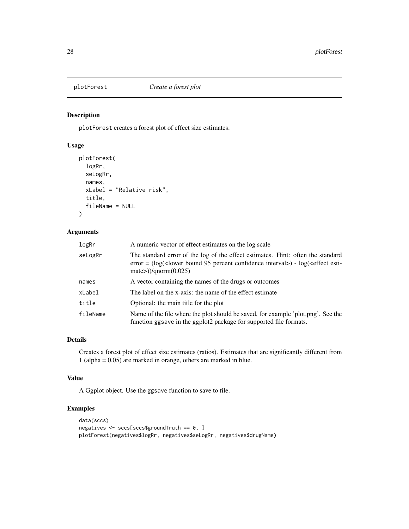<span id="page-27-0"></span>

# Description

plotForest creates a forest plot of effect size estimates.

# Usage

```
plotForest(
  logRr,
  seLogRr,
  names,
  xLabel = "Relative risk",
  title,
  fileName = NULL
\mathcal{L}
```
# Arguments

| logRr    | A numeric vector of effect estimates on the log scale                                                                                                                                                                      |  |
|----------|----------------------------------------------------------------------------------------------------------------------------------------------------------------------------------------------------------------------------|--|
| seLogRr  | The standard error of the log of the effect estimates. Hint: often the standard<br>error = $(\log(\text{clower bound } 95 \text{ percent confidence interval}) - \log(\text{effect esti-1})$<br>mate> $)/$ qnorm $(0.025)$ |  |
| names    | A vector containing the names of the drugs or outcomes                                                                                                                                                                     |  |
| xLabel   | The label on the x-axis: the name of the effect estimate                                                                                                                                                                   |  |
| title    | Optional: the main title for the plot                                                                                                                                                                                      |  |
| fileName | Name of the file where the plot should be saved, for example 'plot.png'. See the<br>function ggsave in the ggplot2 package for supported file formats.                                                                     |  |

# Details

Creates a forest plot of effect size estimates (ratios). Estimates that are significantly different from 1 (alpha = 0.05) are marked in orange, others are marked in blue.

# Value

A Ggplot object. Use the ggsave function to save to file.

# Examples

```
data(sccs)
negatives <- sccs[sccs$groundTruth == 0, ]
plotForest(negatives$logRr, negatives$seLogRr, negatives$drugName)
```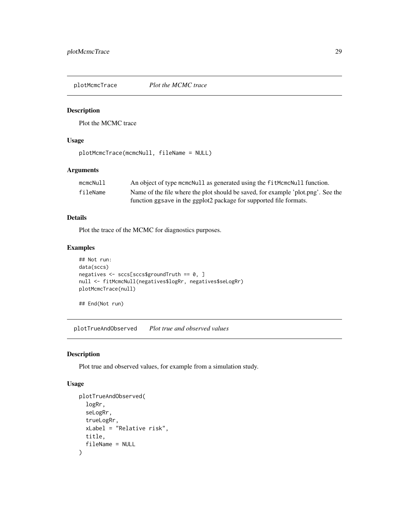<span id="page-28-0"></span>plotMcmcTrace *Plot the MCMC trace*

# Description

Plot the MCMC trace

## Usage

```
plotMcmcTrace(mcmcNull, fileName = NULL)
```
# Arguments

| mcmcNull | An object of type mementull as generated using the fit McmcNull function.        |
|----------|----------------------------------------------------------------------------------|
| fileName | Name of the file where the plot should be saved, for example 'plot.png'. See the |
|          | function ggsave in the ggplot2 package for supported file formats.               |

# Details

Plot the trace of the MCMC for diagnostics purposes.

# Examples

```
## Not run:
data(sccs)
negatives <- sccs[sccs$groundTruth == 0, ]
null <- fitMcmcNull(negatives$logRr, negatives$seLogRr)
plotMcmcTrace(null)
```
## End(Not run)

plotTrueAndObserved *Plot true and observed values*

# Description

Plot true and observed values, for example from a simulation study.

# Usage

```
plotTrueAndObserved(
  logRr,
  seLogRr,
  trueLogRr,
  xLabel = "Relative risk",
  title,
  fileName = NULL
\mathcal{E}
```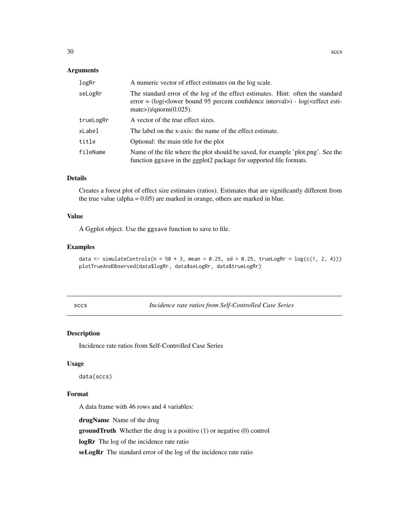#### <span id="page-29-0"></span>Arguments

| logRr     | A numeric vector of effect estimates on the log scale.                                                                                                                                                                    |  |
|-----------|---------------------------------------------------------------------------------------------------------------------------------------------------------------------------------------------------------------------------|--|
| seLogRr   | The standard error of the log of the effect estimates. Hint: often the standard<br>error = $(\log(\text{clower bound } 95 \text{ percent confidence interval}) - \log(\text{effect esti-}$<br>mate $\geq$ )/qnorm(0.025). |  |
| trueLogRr | A vector of the true effect sizes.                                                                                                                                                                                        |  |
| xLabel    | The label on the x-axis: the name of the effect estimate.                                                                                                                                                                 |  |
| title     | Optional: the main title for the plot                                                                                                                                                                                     |  |
| fileName  | Name of the file where the plot should be saved, for example 'plot.png'. See the<br>function ggsave in the ggplot2 package for supported file formats.                                                                    |  |

#### Details

Creates a forest plot of effect size estimates (ratios). Estimates that are significantly different from the true value (alpha  $= 0.05$ ) are marked in orange, others are marked in blue.

## Value

A Ggplot object. Use the ggsave function to save to file.

# Examples

```
data \le simulateControls(n = 50 \star 3, mean = 0.25, sd = 0.25, trueLogRr = log(c(1, 2, 4)))
plotTrueAndObserved(data$logRr, data$seLogRr, data$trueLogRr)
```
sccs *Incidence rate ratios from Self-Controlled Case Series*

#### Description

Incidence rate ratios from Self-Controlled Case Series

## Usage

data(sccs)

# Format

A data frame with 46 rows and 4 variables:

drugName Name of the drug

groundTruth Whether the drug is a positive (1) or negative (0) control

logRr The log of the incidence rate ratio

seLogRr The standard error of the log of the incidence rate ratio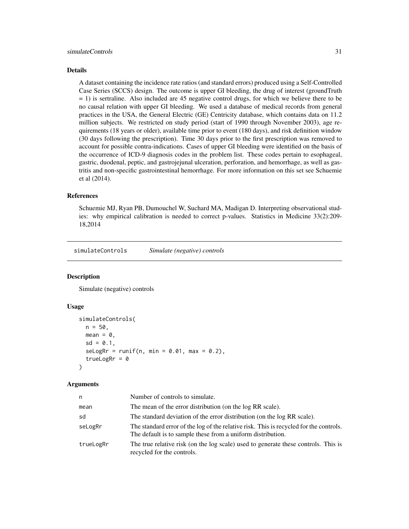<span id="page-30-0"></span>A dataset containing the incidence rate ratios (and standard errors) produced using a Self-Controlled Case Series (SCCS) design. The outcome is upper GI bleeding, the drug of interest (groundTruth = 1) is sertraline. Also included are 45 negative control drugs, for which we believe there to be no causal relation with upper GI bleeding. We used a database of medical records from general practices in the USA, the General Electric (GE) Centricity database, which contains data on 11.2 million subjects. We restricted on study period (start of 1990 through November 2003), age requirements (18 years or older), available time prior to event (180 days), and risk definition window (30 days following the prescription). Time 30 days prior to the first prescription was removed to account for possible contra-indications. Cases of upper GI bleeding were identified on the basis of the occurrence of ICD-9 diagnosis codes in the problem list. These codes pertain to esophageal, gastric, duodenal, peptic, and gastrojejunal ulceration, perforation, and hemorrhage, as well as gastritis and non-specific gastrointestinal hemorrhage. For more information on this set see Schuemie et al (2014).

#### References

Schuemie MJ, Ryan PB, Dumouchel W, Suchard MA, Madigan D. Interpreting observational studies: why empirical calibration is needed to correct p-values. Statistics in Medicine 33(2):209- 18,2014

simulateControls *Simulate (negative) controls*

#### Description

Simulate (negative) controls

#### Usage

```
simulateControls(
 n = 50,
 mean = 0,
  sd = 0.1,
  s^{e} seLogRr = runif(n, min = 0.01, max = 0.2),
  trueLogRr = 0)
```
#### Arguments

| n.        | Number of controls to simulate.                                                                                                                       |
|-----------|-------------------------------------------------------------------------------------------------------------------------------------------------------|
| mean      | The mean of the error distribution (on the log RR scale).                                                                                             |
| sd        | The standard deviation of the error distribution (on the log RR scale).                                                                               |
| seLogRr   | The standard error of the log of the relative risk. This is recycled for the controls.<br>The default is to sample these from a uniform distribution. |
| trueLogRr | The true relative risk (on the log scale) used to generate these controls. This is<br>recycled for the controls.                                      |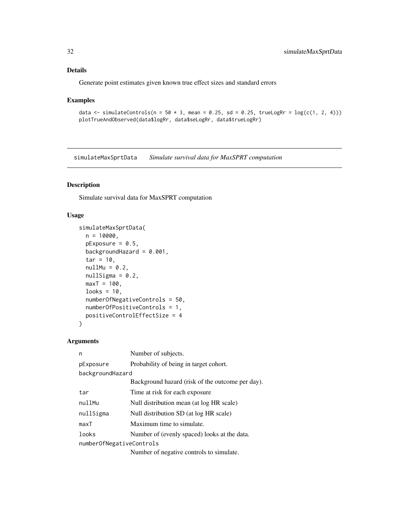<span id="page-31-0"></span>Generate point estimates given known true effect sizes and standard errors

#### Examples

```
data \le simulateControls(n = 50 \star 3, mean = 0.25, sd = 0.25, trueLogRr = log(c(1, 2, 4)))plotTrueAndObserved(data$logRr, data$seLogRr, data$trueLogRr)
```
simulateMaxSprtData *Simulate survival data for MaxSPRT computation*

#### Description

Simulate survival data for MaxSPRT computation

#### Usage

```
simulateMaxSprtData(
 n = 10000,pExposure = 0.5,
 backgroundHazard = 0.001,
  tar = 10,
  nullMu = 0.2,nullSigna = 0.2,maxT = 100,
 looks = 10,
  numberOfNegativeControls = 50,
 numberOfPositiveControls = 1,
 positiveControlEffectSize = 4
\mathcal{E}
```
# Arguments

| n                        | Number of subjects.                              |  |  |
|--------------------------|--------------------------------------------------|--|--|
| pExposure                | Probability of being in target cohort.           |  |  |
| backgroundHazard         |                                                  |  |  |
|                          | Background hazard (risk of the outcome per day). |  |  |
| tar                      | Time at risk for each exposure                   |  |  |
| nullMu                   | Null distribution mean (at log HR scale)         |  |  |
| nullSigma                | Null distribution SD (at log HR scale)           |  |  |
| maxT                     | Maximum time to simulate.                        |  |  |
| looks                    | Number of (evenly spaced) looks at the data.     |  |  |
| numberOfNegativeControls |                                                  |  |  |
|                          | Number of negative controls to simulate.         |  |  |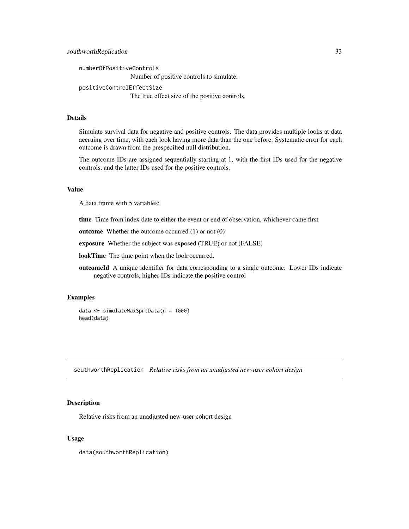```
numberOfPositiveControls
                 Number of positive controls to simulate.
positiveControlEffectSize
                 The true effect size of the positive controls.
```
Simulate survival data for negative and positive controls. The data provides multiple looks at data accruing over time, with each look having more data than the one before. Systematic error for each outcome is drawn from the prespecified null distribution.

The outcome IDs are assigned sequentially starting at 1, with the first IDs used for the negative controls, and the latter IDs used for the positive controls.

## Value

A data frame with 5 variables:

time Time from index date to either the event or end of observation, whichever came first

outcome Whether the outcome occurred (1) or not (0)

exposure Whether the subject was exposed (TRUE) or not (FALSE)

lookTime The time point when the look occurred.

outcomeId A unique identifier for data corresponding to a single outcome. Lower IDs indicate negative controls, higher IDs indicate the positive control

#### Examples

```
data <- simulateMaxSprtData(n = 1000)
head(data)
```
southworthReplication *Relative risks from an unadjusted new-user cohort design*

### Description

Relative risks from an unadjusted new-user cohort design

#### Usage

data(southworthReplication)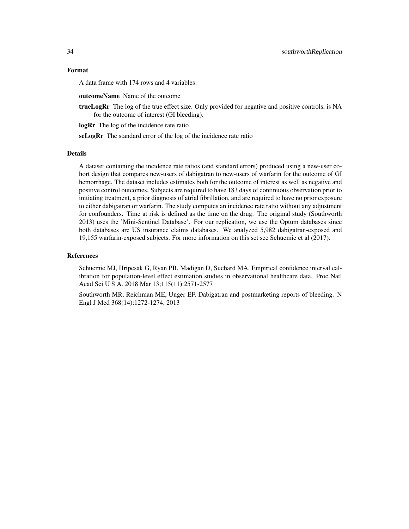A data frame with 174 rows and 4 variables:

outcomeName Name of the outcome

trueLogRr The log of the true effect size. Only provided for negative and positive controls, is NA for the outcome of interest (GI bleeding).

logRr The log of the incidence rate ratio

seLogRr The standard error of the log of the incidence rate ratio

# Details

A dataset containing the incidence rate ratios (and standard errors) produced using a new-user cohort design that compares new-users of dabigatran to new-users of warfarin for the outcome of GI hemorrhage. The dataset includes estimates both for the outcome of interest as well as negative and positive control outcomes. Subjects are required to have 183 days of continuous observation prior to initiating treatment, a prior diagnosis of atrial fibrillation, and are required to have no prior exposure to either dabigatran or warfarin. The study computes an incidence rate ratio without any adjustment for confounders. Time at risk is defined as the time on the drug. The original study (Southworth 2013) uses the 'Mini-Sentinel Database'. For our replication, we use the Optum databases since both databases are US insurance claims databases. We analyzed 5,982 dabigatran-exposed and 19,155 warfarin-exposed subjects. For more information on this set see Schuemie et al (2017).

#### References

Schuemie MJ, Hripcsak G, Ryan PB, Madigan D, Suchard MA. Empirical confidence interval calibration for population-level effect estimation studies in observational healthcare data. Proc Natl Acad Sci U S A. 2018 Mar 13;115(11):2571-2577

Southworth MR, Reichman ME, Unger EF. Dabigatran and postmarketing reports of bleeding. N Engl J Med 368(14):1272-1274, 2013